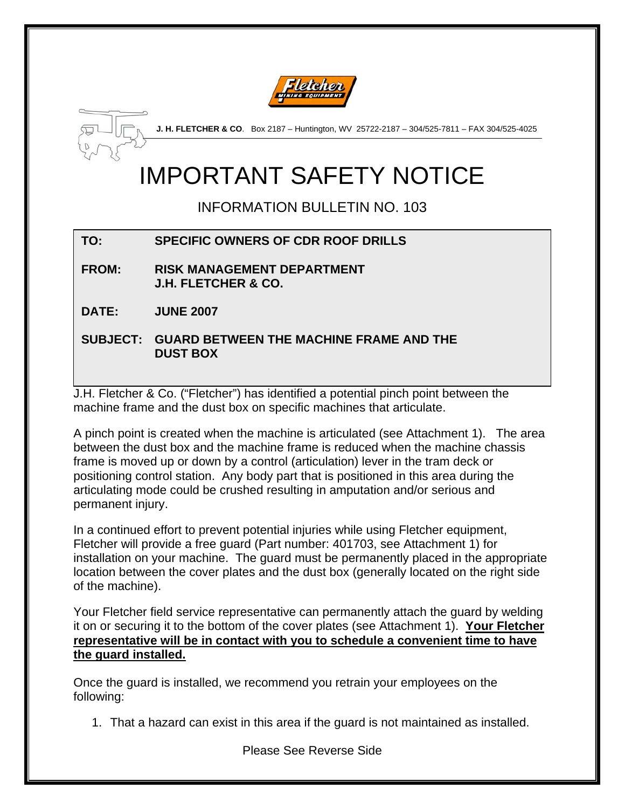



**J. H. FLETCHER & CO**. Box 2187 – Huntington, WV 25722-2187 – 304/525-7811 – FAX 304/525-4025

# IMPORTANT SAFETY NOTICE

INFORMATION BULLETIN NO. 103

## **TO: SPECIFIC OWNERS OF CDR ROOF DRILLS**

**FROM: RISK MANAGEMENT DEPARTMENT J.H. FLETCHER & CO.** 

**DATE: JUNE 2007** 

**SUBJECT: GUARD BETWEEN THE MACHINE FRAME AND THE DUST BOX** 

J.H. Fletcher & Co. ("Fletcher") has identified a potential pinch point between the machine frame and the dust box on specific machines that articulate.

A pinch point is created when the machine is articulated (see Attachment 1). The area between the dust box and the machine frame is reduced when the machine chassis frame is moved up or down by a control (articulation) lever in the tram deck or positioning control station. Any body part that is positioned in this area during the articulating mode could be crushed resulting in amputation and/or serious and permanent injury.

In a continued effort to prevent potential injuries while using Fletcher equipment, Fletcher will provide a free guard (Part number: 401703, see Attachment 1) for installation on your machine. The guard must be permanently placed in the appropriate location between the cover plates and the dust box (generally located on the right side of the machine).

Your Fletcher field service representative can permanently attach the guard by welding it on or securing it to the bottom of the cover plates (see Attachment 1). **Your Fletcher representative will be in contact with you to schedule a convenient time to have the guard installed.**

Once the guard is installed, we recommend you retrain your employees on the following:

1. That a hazard can exist in this area if the guard is not maintained as installed.

Please See Reverse Side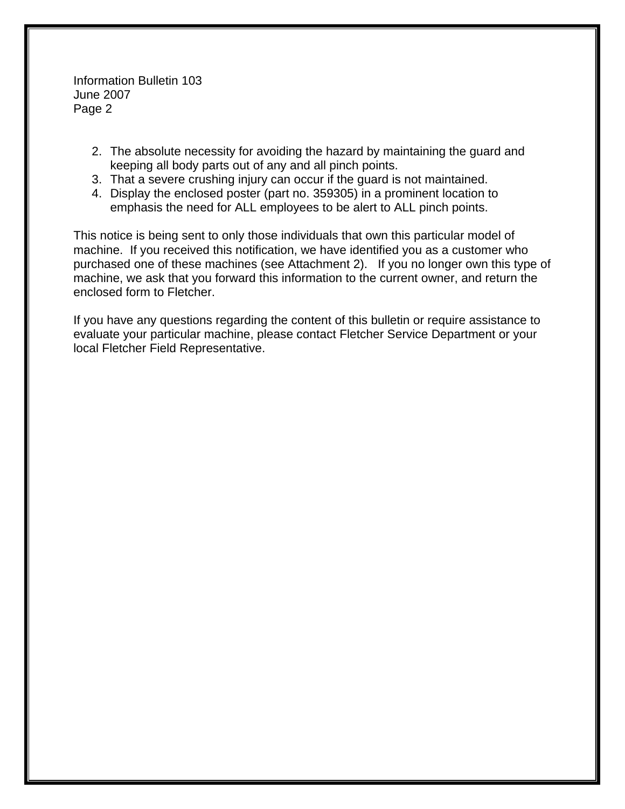Information Bulletin 103 June 2007 Page 2

- 2. The absolute necessity for avoiding the hazard by maintaining the guard and keeping all body parts out of any and all pinch points.
- 3. That a severe crushing injury can occur if the guard is not maintained.
- 4. Display the enclosed poster (part no. 359305) in a prominent location to emphasis the need for ALL employees to be alert to ALL pinch points.

This notice is being sent to only those individuals that own this particular model of machine. If you received this notification, we have identified you as a customer who purchased one of these machines (see Attachment 2). If you no longer own this type of machine, we ask that you forward this information to the current owner, and return the enclosed form to Fletcher.

If you have any questions regarding the content of this bulletin or require assistance to evaluate your particular machine, please contact Fletcher Service Department or your local Fletcher Field Representative.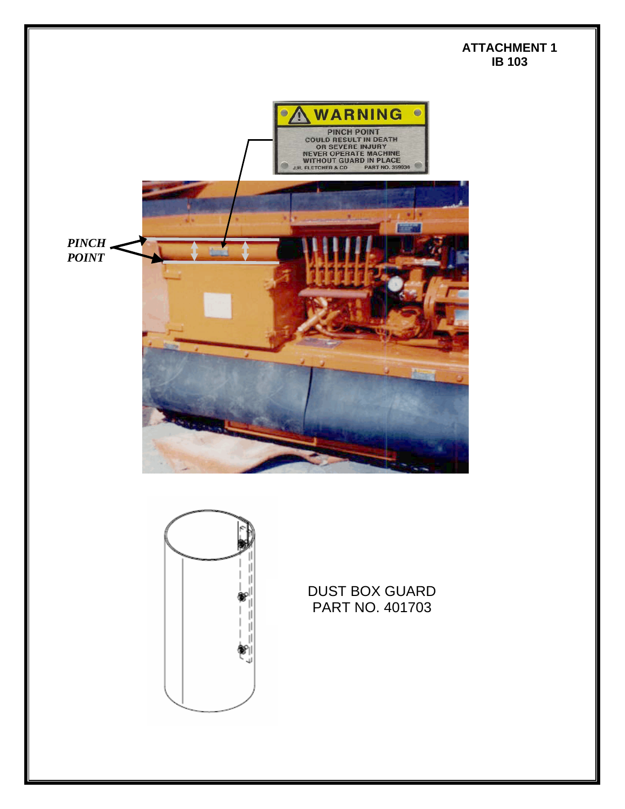#### **ATTACHMENT 1 IB 103**





DUST BOX GUARD PART NO. 401703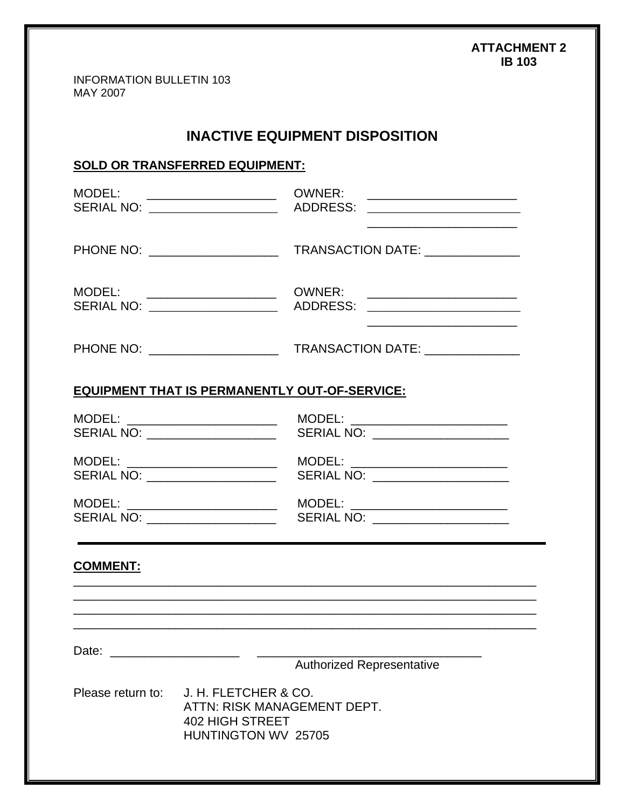#### **ATTACHMENT 2 IB 103**

INFORMATION BULLETIN 103 MAY 2007

### **INACTIVE EQUIPMENT DISPOSITION**

#### **SOLD OR TRANSFERRED EQUIPMENT:**

| MODEL: _____________________<br>SERIAL NO: ___________________                                                                                                                                                                 | <b>OWNER:</b><br><u> 2008 - John Stone, Amerikaansk politiker (</u><br>ADDRESS: ________________________                        |
|--------------------------------------------------------------------------------------------------------------------------------------------------------------------------------------------------------------------------------|---------------------------------------------------------------------------------------------------------------------------------|
| PHONE NO: _____________________                                                                                                                                                                                                | TRANSACTION DATE: ______________                                                                                                |
| MODEL: ______________________<br>SERIAL NO: ___________________                                                                                                                                                                | ADDRESS: _________________________<br>the control of the control of the control of the control of the control of the control of |
|                                                                                                                                                                                                                                |                                                                                                                                 |
| <b>EQUIPMENT THAT IS PERMANENTLY OUT-OF-SERVICE:</b>                                                                                                                                                                           |                                                                                                                                 |
| MODEL: ___________________________<br>SERIAL NO: _______________________                                                                                                                                                       | MODEL: _________________________<br>SERIAL NO: ______________________                                                           |
| MODEL: _________________________<br>SERIAL NO: ___________________                                                                                                                                                             | MODEL: ________________________<br>SERIAL NO: _____________________                                                             |
| MODEL: _______________________<br>SERIAL NO: ____________________                                                                                                                                                              | MODEL: ________________________<br>SERIAL NO: _____________________                                                             |
| <b>COMMENT:</b>                                                                                                                                                                                                                |                                                                                                                                 |
|                                                                                                                                                                                                                                |                                                                                                                                 |
| Date: the contract of the contract of the contract of the contract of the contract of the contract of the contract of the contract of the contract of the contract of the contract of the contract of the contract of the cont | <b>Authorized Representative</b>                                                                                                |
| J. H. FLETCHER & CO.<br>Please return to:<br>ATTN: RISK MANAGEMENT DEPT.<br><b>402 HIGH STREET</b><br>HUNTINGTON WV 25705                                                                                                      |                                                                                                                                 |